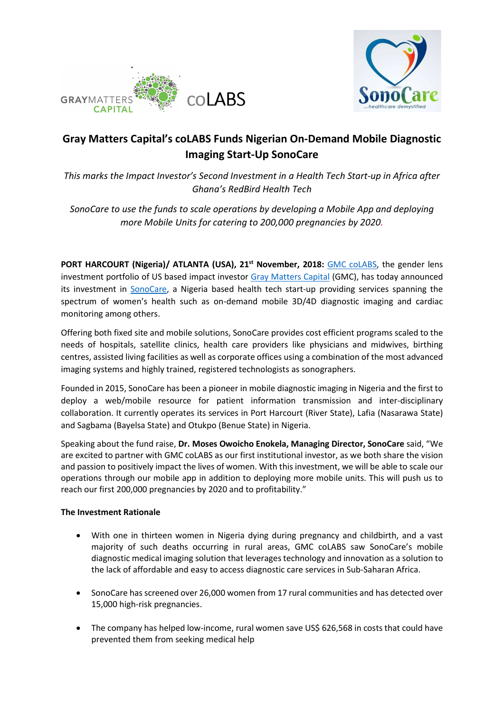



# Gray Matters Capital's coLABS Funds Nigerian On-Demand Mobile Diagnostic Imaging Start-Up SonoCare

This marks the Impact Investor's Second Investment in a Health Tech Start-up in Africa after Ghana's RedBird Health Tech

SonoCare to use the funds to scale operations by developing a Mobile App and deploying more Mobile Units for catering to 200,000 pregnancies by 2020.

PORT HARCOURT (Nigeria)/ ATLANTA (USA), 21<sup>st</sup> November, 2018: GMC colABS, the gender lens investment portfolio of US based impact investor Gray Matters Capital (GMC), has today announced its investment in SonoCare, a Nigeria based health tech start-up providing services spanning the spectrum of women's health such as on-demand mobile 3D/4D diagnostic imaging and cardiac monitoring among others.

Offering both fixed site and mobile solutions, SonoCare provides cost efficient programs scaled to the needs of hospitals, satellite clinics, health care providers like physicians and midwives, birthing centres, assisted living facilities as well as corporate offices using a combination of the most advanced imaging systems and highly trained, registered technologists as sonographers.

Founded in 2015, SonoCare has been a pioneer in mobile diagnostic imaging in Nigeria and the first to deploy a web/mobile resource for patient information transmission and inter-disciplinary collaboration. It currently operates its services in Port Harcourt (River State), Lafia (Nasarawa State) and Sagbama (Bayelsa State) and Otukpo (Benue State) in Nigeria.

Speaking about the fund raise, Dr. Moses Owoicho Enokela, Managing Director, SonoCare said, "We are excited to partner with GMC coLABS as our first institutional investor, as we both share the vision and passion to positively impact the lives of women. With this investment, we will be able to scale our operations through our mobile app in addition to deploying more mobile units. This will push us to reach our first 200,000 pregnancies by 2020 and to profitability."

#### The Investment Rationale

- With one in thirteen women in Nigeria dying during pregnancy and childbirth, and a vast majority of such deaths occurring in rural areas, GMC coLABS saw SonoCare's mobile diagnostic medical imaging solution that leverages technology and innovation as a solution to the lack of affordable and easy to access diagnostic care services in Sub-Saharan Africa.
- SonoCare has screened over 26,000 women from 17 rural communities and has detected over 15,000 high-risk pregnancies.
- The company has helped low-income, rural women save US\$ 626,568 in costs that could have prevented them from seeking medical help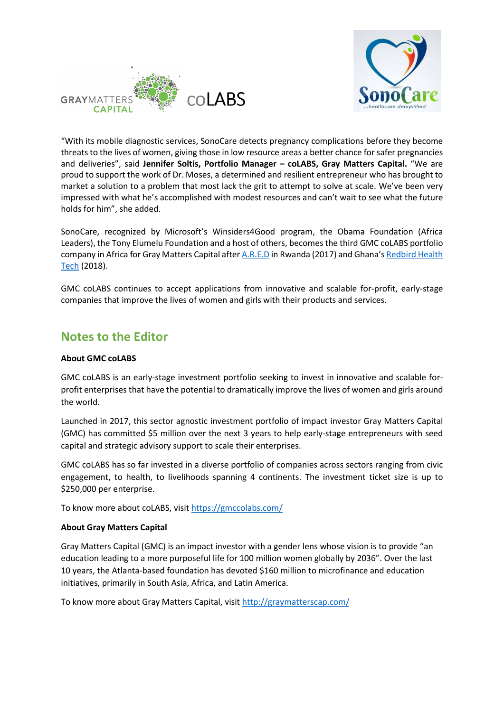



"With its mobile diagnostic services, SonoCare detects pregnancy complications before they become threats to the lives of women, giving those in low resource areas a better chance for safer pregnancies and deliveries", said Jennifer Soltis, Portfolio Manager - coLABS, Gray Matters Capital. "We are proud to support the work of Dr. Moses, a determined and resilient entrepreneur who has brought to market a solution to a problem that most lack the grit to attempt to solve at scale. We've been very impressed with what he's accomplished with modest resources and can't wait to see what the future holds for him", she added.

SonoCare, recognized by Microsoft's Winsiders4Good program, the Obama Foundation (Africa Leaders), the Tony Elumelu Foundation and a host of others, becomes the third GMC coLABS portfolio company in Africa for Gray Matters Capital after A.R.E.D in Rwanda (2017) and Ghana's Redbird Health Tech (2018).

GMC coLABS continues to accept applications from innovative and scalable for-profit, early-stage companies that improve the lives of women and girls with their products and services.

### Notes to the Editor

#### About GMC coLABS

GMC coLABS is an early-stage investment portfolio seeking to invest in innovative and scalable forprofit enterprises that have the potential to dramatically improve the lives of women and girls around the world.

Launched in 2017, this sector agnostic investment portfolio of impact investor Gray Matters Capital (GMC) has committed \$5 million over the next 3 years to help early-stage entrepreneurs with seed capital and strategic advisory support to scale their enterprises.

GMC coLABS has so far invested in a diverse portfolio of companies across sectors ranging from civic engagement, to health, to livelihoods spanning 4 continents. The investment ticket size is up to \$250,000 per enterprise.

To know more about coLABS, visit https://gmccolabs.com/

#### About Gray Matters Capital

Gray Matters Capital (GMC) is an impact investor with a gender lens whose vision is to provide "an education leading to a more purposeful life for 100 million women globally by 2036". Over the last 10 years, the Atlanta-based foundation has devoted \$160 million to microfinance and education initiatives, primarily in South Asia, Africa, and Latin America.

To know more about Gray Matters Capital, visit http://graymatterscap.com/